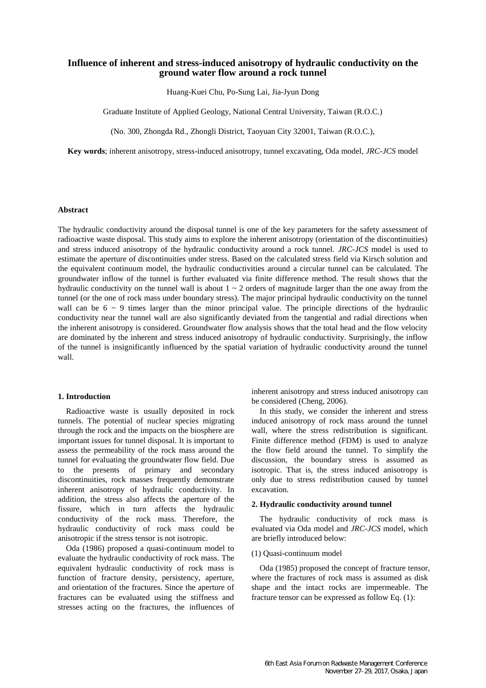# **Influence of inherent and stress-induced anisotropy of hydraulic conductivity on the ground water flow around a rock tunnel**

Huang-Kuei Chu, Po-Sung Lai, Jia-Jyun Dong

Graduate Institute of Applied Geology, National Central University, Taiwan (R.O.C.)

(No. 300, Zhongda Rd., Zhongli District, Taoyuan City 32001, Taiwan (R.O.C.),

**Key words**; inherent anisotropy, stress-induced anisotropy, tunnel excavating, Oda model, *JRC-JCS* model

# **Abstract**

The hydraulic conductivity around the disposal tunnel is one of the key parameters for the safety assessment of radioactive waste disposal. This study aims to explore the inherent anisotropy (orientation of the discontinuities) and stress induced anisotropy of the hydraulic conductivity around a rock tunnel. *JRC-JCS* model is used to estimate the aperture of discontinuities under stress. Based on the calculated stress field via Kirsch solution and the equivalent continuum model, the hydraulic conductivities around a circular tunnel can be calculated. The groundwater inflow of the tunnel is further evaluated via finite difference method. The result shows that the hydraulic conductivity on the tunnel wall is about  $1 \sim 2$  orders of magnitude larger than the one away from the tunnel (or the one of rock mass under boundary stress). The major principal hydraulic conductivity on the tunnel wall can be  $6 \sim 9$  times larger than the minor principal value. The principle directions of the hydraulic conductivity near the tunnel wall are also significantly deviated from the tangential and radial directions when the inherent anisotropy is considered. Groundwater flow analysis shows that the total head and the flow velocity are dominated by the inherent and stress induced anisotropy of hydraulic conductivity. Surprisingly, the inflow of the tunnel is insignificantly influenced by the spatial variation of hydraulic conductivity around the tunnel wall.

# **1. Introduction**

Radioactive waste is usually deposited in rock tunnels. The potential of nuclear species migrating through the rock and the impacts on the biosphere are important issues for tunnel disposal. It is important to assess the permeability of the rock mass around the tunnel for evaluating the groundwater flow field. Due to the presents of primary and secondary discontinuities, rock masses frequently demonstrate inherent anisotropy of hydraulic conductivity. In addition, the stress also affects the aperture of the fissure, which in turn affects the hydraulic conductivity of the rock mass. Therefore, the hydraulic conductivity of rock mass could be anisotropic if the stress tensor is not isotropic.

Oda (1986) proposed a quasi-continuum model to evaluate the hydraulic conductivity of rock mass. The equivalent hydraulic conductivity of rock mass is function of fracture density, persistency, aperture, and orientation of the fractures. Since the aperture of fractures can be evaluated using the stiffness and stresses acting on the fractures, the influences of

inherent anisotropy and stress induced anisotropy can be considered (Cheng, 2006).

In this study, we consider the inherent and stress induced anisotropy of rock mass around the tunnel wall, where the stress redistribution is significant. Finite difference method (FDM) is used to analyze the flow field around the tunnel. To simplify the discussion, the boundary stress is assumed as isotropic. That is, the stress induced anisotropy is only due to stress redistribution caused by tunnel excavation.

## **2. Hydraulic conductivity around tunnel**

The hydraulic conductivity of rock mass is evaluated via Oda model and *JRC-JCS* model, which are briefly introduced below:

#### (1) Quasi-continuum model

Oda (1985) proposed the concept of fracture tensor, where the fractures of rock mass is assumed as disk shape and the intact rocks are impermeable. The fracture tensor can be expressed as follow Eq. (1):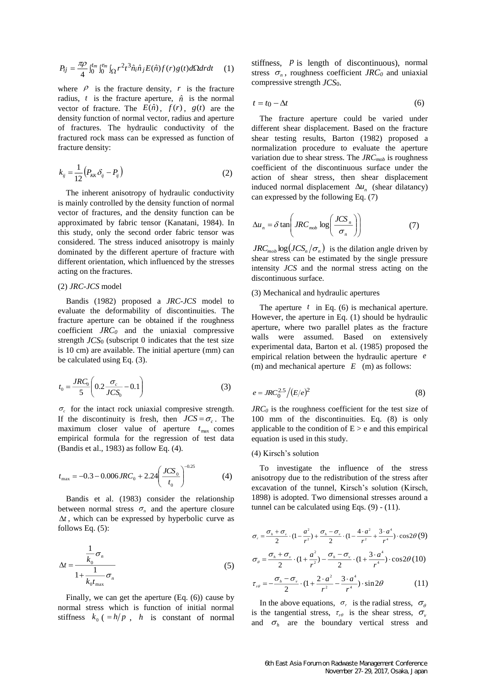$$
P_{ij} = \frac{\pi \rho}{4} \int_0^{t_m} \int_0^{r_m} \int_{\Omega} r^2 t^3 \hat{n}_i \hat{n}_j E(\hat{n}) f(r) g(t) d\Omega dr dt \qquad (1)
$$

where  $\rho$  is the fracture density, r is the fracture radius,  $t$  is the fracture aperture,  $\hat{n}$  is the normal vector of fracture. The  $E(\hat{n})$ ,  $f(r)$ ,  $g(t)$  are the density function of normal vector, radius and aperture of fractures. The hydraulic conductivity of the fractured rock mass can be expressed as function of fracture density:

$$
k_{ij} = \frac{1}{12} \left( P_{\kappa K} \delta_{ij} - P_{ij} \right) \tag{2}
$$

The inherent anisotropy of hydraulic conductivity is mainly controlled by the density function of normal vector of fractures, and the density function can be approximated by fabric tensor (Kanatani, 1984). In this study, only the second order fabric tensor was considered. The stress induced anisotropy is mainly dominated by the different aperture of fracture with different orientation, which influenced by the stresses acting on the fractures.

### (2) *JRC-JCS* model

Bandis (1982) proposed a *JRC-JCS* model to evaluate the deformability of discontinuities. The fracture aperture can be obtained if the roughness coefficient *JRC<sup>0</sup>* and the uniaxial compressive strength *JCS*<sup>0</sup> (subscript 0 indicates that the test size is 10 cm) are available. The initial aperture (mm) can be calculated using Eq. (3).

$$
t_0 = \frac{JRC_0}{5} \left( 0.2 \frac{\sigma_c}{JCS_0} - 0.1 \right)
$$
 (3)

 $\sigma_c$  for the intact rock uniaxial compresive strength. If the discontinuity is fresh, then  $JCS = \sigma_c$ . The maximum closer value of aperture  $t_{\text{max}}$  comes empirical formula for the regression of test data (Bandis et al., 1983) as follow Eq. (4).

$$
t_{\text{max}} = -0.3 - 0.006 \text{JRC}_0 + 2.24 \left( \frac{\text{JCS}_0}{t_0} \right)^{-0.25} \tag{4}
$$

Bandis et al. (1983) consider the relationship between normal stress  $\sigma_n$  and the aperture closure  $\Delta t$ , which can be expressed by hyperbolic curve as follows Eq. (5):

$$
\Delta t = \frac{\frac{1}{k_0} \sigma_n}{1 + \frac{1}{k_0 t_{\text{max}}}} \sigma_n \tag{5}
$$

Finally, we can get the aperture (Eq. (6)) cause by normal stress which is function of initial normal stiffness  $k_0$  ( $= h/p$ , *h* is constant of normal

stiffness,  *is length of discontinuous), normal* stress  $\sigma_n$ , roughness coefficient *JRC*<sup> $0$ </sup> and uniaxial compressive strength *JCS*0.

$$
t = t_0 - \Delta t \tag{6}
$$

The fracture aperture could be varied under different shear displacement. Based on the fracture shear testing results, Barton (1982) proposed a normalization procedure to evaluate the aperture variation due to shear stress. The *JRCmob* is roughness coefficient of the discontinuous surface under the action of shear stress, then shear displacement induced normal displacement  $\Delta u_n$  (shear dilatancy) can expressed by the following Eq. (7)

$$
\Delta u_n = \delta \tan \left( JRC_{mob} \log \left( \frac{JCS_n}{\sigma_n} \right) \right) \tag{7}
$$

 $JRC_{mob}$   $log(JCS_n / \sigma_n)$  is the dilation angle driven by shear stress can be estimated by the single pressure intensity *JCS* and the normal stress acting on the discontinuous surface.

### (3) Mechanical and hydraulic apertures

The aperture  $t$  in Eq. (6) is mechanical aperture. However, the aperture in Eq. (1) should be hydraulic aperture, where two parallel plates as the fracture walls were assumed. Based on extensively experimental data, Barton et al. (1985) proposed the empirical relation between the hydraulic aperture *e* (m) and mechanical aperture *E* (m) as follows:

$$
e = JRC_0^{2.5} / (E/e)^2
$$
\n
$$
(8)
$$

*JRC<sup>0</sup>* is the roughness coefficient for the test size of 100 mm of the discontinuities. Eq. (8) is only applicable to the condition of  $E > e$  and this empirical equation is used in this study.

### (4) Kirsch's solution

To investigate the influence of the stress anisotropy due to the redistribution of the stress after excavation of the tunnel, Kirsch's solution (Kirsch, 1898) is adopted. Two dimensional stresses around a tunnel can be calculated using Eqs. (9) - (11).

$$
\sigma_r = \frac{\sigma_h + \sigma_v}{2} \cdot (1 - \frac{a^2}{r^2}) + \frac{\sigma_h - \sigma_v}{2} \cdot (1 - \frac{4 \cdot a^2}{r^2} + \frac{3 \cdot a^4}{r^4}) \cdot \cos 2\theta (9)
$$
  

$$
\sigma_\theta = \frac{\sigma_h + \sigma_v}{2} \cdot (1 + \frac{a^2}{r^2}) - \frac{\sigma_h - \sigma_v}{2} \cdot (1 + \frac{3 \cdot a^4}{r^4}) \cdot \cos 2\theta (10)
$$

$$
\tau_{r\theta} = -\frac{\sigma_h - \sigma_v}{2} \cdot (1 + \frac{2 \cdot a^2}{r^2} - \frac{3 \cdot a^4}{r^4}) \cdot \sin 2\theta \tag{11}
$$

In the above equations,  $\sigma_r$  is the radial stress,  $\sigma_\theta$ is the tangential stress,  $\tau_{r\theta}$  is the shear stress,  $\sigma_{\nu}$ and  $\sigma_h$  are the boundary vertical stress and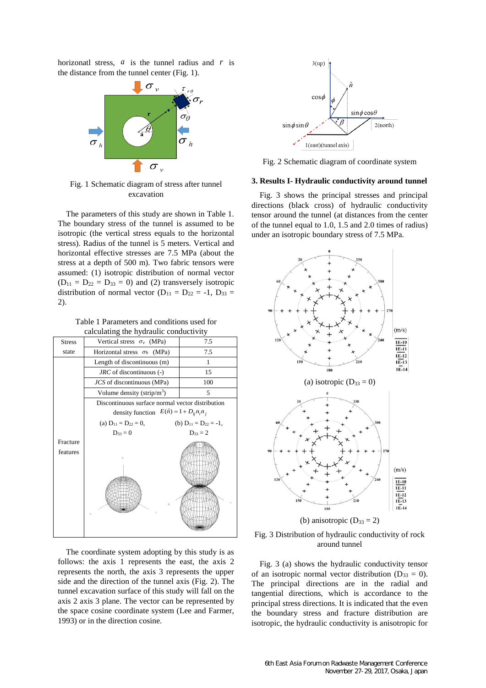horizonatl stress, *a* is the tunnel radius and *r* is the distance from the tunnel center (Fig. 1).



Fig. 1 Schematic diagram of stress after tunnel excavation

The parameters of this study are shown in Table 1. The boundary stress of the tunnel is assumed to be isotropic (the vertical stress equals to the horizontal stress). Radius of the tunnel is 5 meters. Vertical and horizontal effective stresses are 7.5 MPa (about the stress at a depth of 500 m). Two fabric tensors were assumed: (1) isotropic distribution of normal vector  $(D_{11} = D_{22} = D_{33} = 0)$  and (2) transversely isotropic distribution of normal vector  $(D_{11} = D_{22} = -1, D_{33} =$ 2).

Table 1 Parameters and conditions used for calculating the hydraulic conductivity

| <b>Stress</b>        | Vertical stress $\sigma_{\nu}$ (MPa)                                                                   | 7.5                          |
|----------------------|--------------------------------------------------------------------------------------------------------|------------------------------|
| state                | Horizontal stress $\sigma_h$ (MPa)                                                                     | 7.5                          |
|                      | Length of discontinuous (m)                                                                            | 1                            |
|                      | JRC of discontinuous (-)                                                                               | 15                           |
|                      | JCS of discontinuous (MPa)                                                                             | 100                          |
|                      | Volume density (strip/m <sup>3</sup> )                                                                 | 5                            |
|                      | Discontinuous surface normal vector distribution<br>density function $E(\hat{n}) = 1 + D_{ij} n_i n_j$ |                              |
|                      |                                                                                                        |                              |
|                      | (a) $D_{11} = D_{22} = 0$ ,                                                                            | (b) $D_{11} = D_{22} = -1$ , |
|                      | $D_{33} = 0$                                                                                           | $D_{33} = 2$                 |
| Fracture<br>features |                                                                                                        |                              |

The coordinate system adopting by this study is as follows: the axis 1 represents the east, the axis 2 represents the north, the axis 3 represents the upper side and the direction of the tunnel axis (Fig. 2). The tunnel excavation surface of this study will fall on the axis 2 axis 3 plane. The vector can be represented by the space cosine coordinate system (Lee and Farmer, 1993) or in the direction cosine.



Fig. 2 Schematic diagram of coordinate system

#### **3. Results I- Hydraulic conductivity around tunnel**

Fig. 3 shows the principal stresses and principal directions (black cross) of hydraulic conductivity tensor around the tunnel (at distances from the center of the tunnel equal to 1.0, 1.5 and 2.0 times of radius) under an isotropic boundary stress of 7.5 MPa.





Fig. 3 (a) shows the hydraulic conductivity tensor of an isotropic normal vector distribution ( $D_{33} = 0$ ). The principal directions are in the radial and tangential directions, which is accordance to the principal stress directions. It is indicated that the even the boundary stress and fracture distribution are isotropic, the hydraulic conductivity is anisotropic for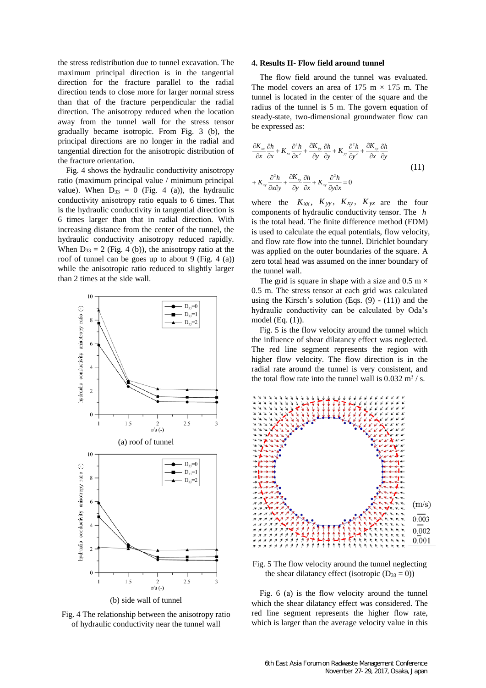the stress redistribution due to tunnel excavation. The maximum principal direction is in the tangential direction for the fracture parallel to the radial direction tends to close more for larger normal stress than that of the fracture perpendicular the radial direction. The anisotropy reduced when the location away from the tunnel wall for the stress tensor gradually became isotropic. From Fig. 3 (b), the principal directions are no longer in the radial and tangential direction for the anisotropic distribution of the fracture orientation.

Fig. 4 shows the hydraulic conductivity anisotropy ratio (maximum principal value / minimum principal value). When  $D_{33} = 0$  (Fig. 4 (a)), the hydraulic conductivity anisotropy ratio equals to 6 times. That is the hydraulic conductivity in tangential direction is 6 times larger than that in radial direction. With increasing distance from the center of the tunnel, the hydraulic conductivity anisotropy reduced rapidly. When  $D_{33} = 2$  (Fig. 4 (b)), the anisotropy ratio at the roof of tunnel can be goes up to about 9 (Fig. 4 (a)) while the anisotropic ratio reduced to slightly larger than 2 times at the side wall.



(b) side wall of tunnel

Fig. 4 The relationship between the anisotropy ratio of hydraulic conductivity near the tunnel wall

#### **4. Results II- Flow field around tunnel**

The flow field around the tunnel was evaluated. The model covers an area of 175 m  $\times$  175 m. The tunnel is located in the center of the square and the radius of the tunnel is 5 m. The govern equation of steady-state, two-dimensional groundwater flow can be expressed as:

$$
\frac{\partial K_{xx}}{\partial x} \frac{\partial h}{\partial x} + K_{xx} \frac{\partial^2 h}{\partial x^2} + \frac{\partial K_{yy}}{\partial y} \frac{\partial h}{\partial y} + K_{yy} \frac{\partial^2 h}{\partial y^2} + \frac{\partial K_{xy}}{\partial x} \frac{\partial h}{\partial y}
$$
  
+ 
$$
K_{xy} \frac{\partial^2 h}{\partial x \partial y} + \frac{\partial K_{xy}}{\partial y} \frac{\partial h}{\partial x} + K_{xy} \frac{\partial^2 h}{\partial y \partial x} = 0
$$
 (11)

where the  $K_{xx}$ ,  $K_{yy}$ ,  $K_{xy}$ ,  $K_{yx}$  are the four components of hydraulic conductivity tensor. The *h* is the total head. The finite difference method (FDM) is used to calculate the equal potentials, flow velocity, and flow rate flow into the tunnel. Dirichlet boundary was applied on the outer boundaries of the square. A zero total head was assumed on the inner boundary of the tunnel wall.

The grid is square in shape with a size and  $0.5 \text{ m} \times$ 0.5 m. The stress tensor at each grid was calculated using the Kirsch's solution (Eqs.  $(9) - (11)$ ) and the hydraulic conductivity can be calculated by Oda's model (Eq. (1)).

Fig. 5 is the flow velocity around the tunnel which the influence of shear dilatancy effect was neglected. The red line segment represents the region with higher flow velocity. The flow direction is in the radial rate around the tunnel is very consistent, and the total flow rate into the tunnel wall is  $0.032 \text{ m}^3$  / s.



Fig. 5 The flow velocity around the tunnel neglecting the shear dilatancy effect (isotropic  $(D_{33} = 0)$ )

Fig. 6 (a) is the flow velocity around the tunnel which the shear dilatancy effect was considered. The red line segment represents the higher flow rate, which is larger than the average velocity value in this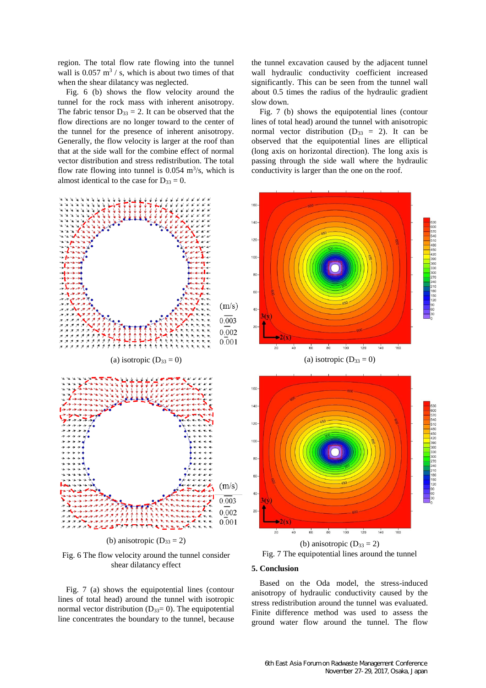region. The total flow rate flowing into the tunnel wall is  $0.057 \text{ m}^3$  / s, which is about two times of that when the shear dilatancy was neglected.

Fig. 6 (b) shows the flow velocity around the tunnel for the rock mass with inherent anisotropy. The fabric tensor  $D_{33} = 2$ . It can be observed that the flow directions are no longer toward to the center of the tunnel for the presence of inherent anisotropy. Generally, the flow velocity is larger at the roof than that at the side wall for the combine effect of normal vector distribution and stress redistribution. The total flow rate flowing into tunnel is  $0.054 \text{ m}^3/\text{s}$ , which is almost identical to the case for  $D_{33} = 0$ .



Fig. 6 The flow velocity around the tunnel consider shear dilatancy effect

Fig. 7 (a) shows the equipotential lines (contour lines of total head) around the tunnel with isotropic normal vector distribution ( $D_{33}=0$ ). The equipotential line concentrates the boundary to the tunnel, because

the tunnel excavation caused by the adjacent tunnel wall hydraulic conductivity coefficient increased significantly. This can be seen from the tunnel wall about 0.5 times the radius of the hydraulic gradient slow down.

Fig. 7 (b) shows the equipotential lines (contour lines of total head) around the tunnel with anisotropic normal vector distribution ( $D_{33} = 2$ ). It can be observed that the equipotential lines are elliptical (long axis on horizontal direction). The long axis is passing through the side wall where the hydraulic conductivity is larger than the one on the roof.





# **5. Conclusion**

Based on the Oda model, the stress-induced anisotropy of hydraulic conductivity caused by the stress redistribution around the tunnel was evaluated. Finite difference method was used to assess the ground water flow around the tunnel. The flow